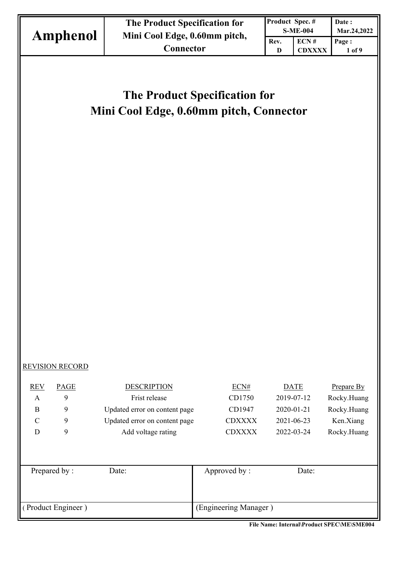|                                                                                 | <b>The Product Specification for</b> |                       |      | Product Spec. #<br><b>S-ME-004</b> | Date:<br>Mar.24,2022 |  |  |  |  |  |  |
|---------------------------------------------------------------------------------|--------------------------------------|-----------------------|------|------------------------------------|----------------------|--|--|--|--|--|--|
| <b>Amphenol</b>                                                                 | Mini Cool Edge, 0.60mm pitch,        |                       | Rev. | ECN#                               | Page:                |  |  |  |  |  |  |
|                                                                                 | Connector                            |                       | D    | <b>CDXXXX</b>                      | 1 of 9               |  |  |  |  |  |  |
| <b>The Product Specification for</b><br>Mini Cool Edge, 0.60mm pitch, Connector |                                      |                       |      |                                    |                      |  |  |  |  |  |  |
|                                                                                 |                                      |                       |      |                                    |                      |  |  |  |  |  |  |
| <b>REVISION RECORD</b><br><b>REV</b><br><b>PAGE</b>                             | <b>DESCRIPTION</b>                   | ECN#                  |      | <b>DATE</b>                        | Prepare By           |  |  |  |  |  |  |
| $\mathbf{A}$<br>9                                                               | Frist release                        | CD1750                |      | 2019-07-12                         | Rocky.Huang          |  |  |  |  |  |  |
| $\, {\bf B}$<br>9                                                               | Updated error on content page        | CD1947                |      | 2020-01-21                         | Rocky.Huang          |  |  |  |  |  |  |
| $\mathbf C$<br>9                                                                | Updated error on content page        | <b>CDXXXX</b>         |      | 2021-06-23                         | Ken.Xiang            |  |  |  |  |  |  |
| $\mathbf D$<br>9                                                                | Add voltage rating                   | <b>CDXXXX</b>         |      | 2022-03-24                         | Rocky.Huang          |  |  |  |  |  |  |
| Prepared by:                                                                    | Date:                                | Approved by:          |      | Date:                              |                      |  |  |  |  |  |  |
| (Product Engineer)                                                              |                                      | (Engineering Manager) |      |                                    |                      |  |  |  |  |  |  |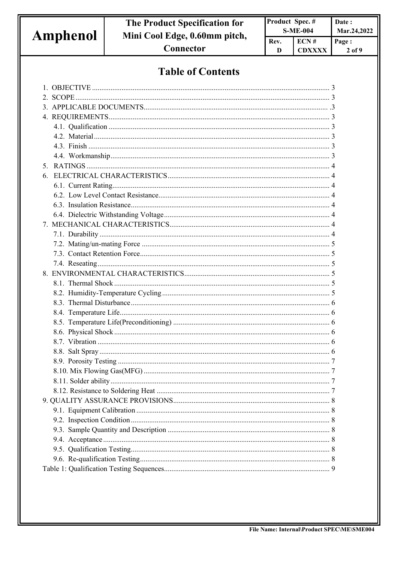|          | <b>The Product Specification for</b> | Product Spec. # |                 | Date:       |  |  |
|----------|--------------------------------------|-----------------|-----------------|-------------|--|--|
| Amphenol | Mini Cool Edge, 0.60mm pitch,        |                 | <b>S-ME-004</b> | Mar.24,2022 |  |  |
|          |                                      | Rev.            | ECN#            | Page:       |  |  |
|          | Connector                            | D               | <b>CDXXXX</b>   | $2$ of $9$  |  |  |
|          |                                      |                 |                 |             |  |  |
|          | <b>Table of Contents</b>             |                 |                 |             |  |  |
|          |                                      |                 |                 |             |  |  |
|          |                                      |                 |                 |             |  |  |
|          |                                      |                 |                 |             |  |  |
|          |                                      |                 |                 |             |  |  |
|          |                                      |                 |                 |             |  |  |
|          |                                      |                 |                 |             |  |  |
|          |                                      |                 |                 |             |  |  |
|          |                                      |                 |                 |             |  |  |
|          |                                      |                 |                 |             |  |  |
|          |                                      |                 |                 |             |  |  |
|          |                                      |                 |                 |             |  |  |
|          |                                      |                 |                 |             |  |  |
|          |                                      |                 |                 |             |  |  |
|          |                                      |                 |                 |             |  |  |
|          |                                      |                 |                 |             |  |  |
|          |                                      |                 |                 |             |  |  |
|          |                                      |                 |                 |             |  |  |
|          |                                      |                 |                 |             |  |  |
|          |                                      |                 |                 |             |  |  |
|          |                                      |                 |                 |             |  |  |
|          |                                      |                 |                 |             |  |  |
|          |                                      |                 |                 |             |  |  |
|          |                                      |                 |                 |             |  |  |
|          |                                      |                 |                 |             |  |  |
|          |                                      |                 |                 |             |  |  |
|          |                                      |                 |                 |             |  |  |
|          |                                      |                 |                 |             |  |  |
|          |                                      |                 |                 |             |  |  |
|          |                                      |                 |                 |             |  |  |
|          |                                      |                 |                 |             |  |  |
|          |                                      |                 |                 |             |  |  |
|          |                                      |                 |                 |             |  |  |
|          |                                      |                 |                 |             |  |  |
|          |                                      |                 |                 |             |  |  |
|          |                                      |                 |                 |             |  |  |
|          |                                      |                 |                 |             |  |  |
|          |                                      |                 |                 |             |  |  |
|          |                                      |                 |                 |             |  |  |
|          |                                      |                 |                 |             |  |  |
|          |                                      |                 |                 |             |  |  |
|          |                                      |                 |                 |             |  |  |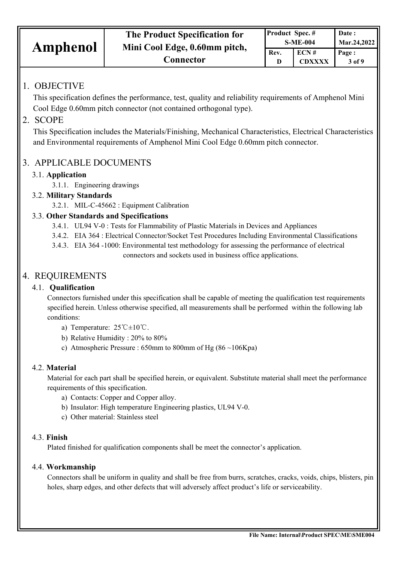| Amphenol | The Product Specification for<br>Mini Cool Edge, 0.60mm pitch, | <b>Product Spec.#</b> | <b>S-ME-004</b>           | Date :<br>Mar.24,2022 |  |  |
|----------|----------------------------------------------------------------|-----------------------|---------------------------|-----------------------|--|--|
|          | Connector                                                      | Rev.                  | $ECN \#$<br><b>CDXXXX</b> | Page:<br>3 of 9       |  |  |

## 1. OBJECTIVE

This specification defines the performance, test, quality and reliability requirements of Amphenol Mini Cool Edge 0.60mm pitch connector (not contained orthogonal type).

## 2. SCOPE

This Specification includes the Materials/Finishing, Mechanical Characteristics, Electrical Characteristics and Environmental requirements of Amphenol Mini Cool Edge 0.60mm pitch connector.

# 3. APPLICABLE DOCUMENTS

## 3.1. **Application**

3.1.1. Engineering drawings

## 3.2. **Military Standards**

3.2.1. MIL-C-45662 : Equipment Calibration

## 3.3. **Other Standards and Specifications**

- 3.4.1. UL94 V-0 : Tests for Flammability of Plastic Materials in Devices and Appliances
- 3.4.2. EIA 364 : Electrical Connector/Socket Test Procedures Including Environmental Classifications
- 3.4.3. EIA 364 -1000: Environmental test methodology for assessing the performance of electrical connectors and sockets used in business office applications.

# 4. REQUIREMENTS

## 4.1. **Qualification**

Connectors furnished under this specification shall be capable of meeting the qualification test requirements specified herein. Unless otherwise specified, all measurements shall be performed within the following lab conditions:

- a) Temperature: 25℃±10℃.
- b) Relative Humidity : 20% to 80%
- c) Atmospheric Pressure : 650mm to 800mm of Hg (86  $\sim$ 106Kpa)

## 4.2. **Material**

Material for each part shall be specified herein, or equivalent. Substitute material shall meet the performance requirements of this specification.

- a) Contacts: Copper and Copper alloy.
- b) Insulator: High temperature Engineering plastics, UL94 V-0.
- c) Other material: Stainless steel

### 4.3. **Finish**

Plated finished for qualification components shall be meet the connector's application.

## 4.4. **Workmanship**

Connectors shall be uniform in quality and shall be free from burrs, scratches, cracks, voids, chips, blisters, pin holes, sharp edges, and other defects that will adversely affect product's life or serviceability.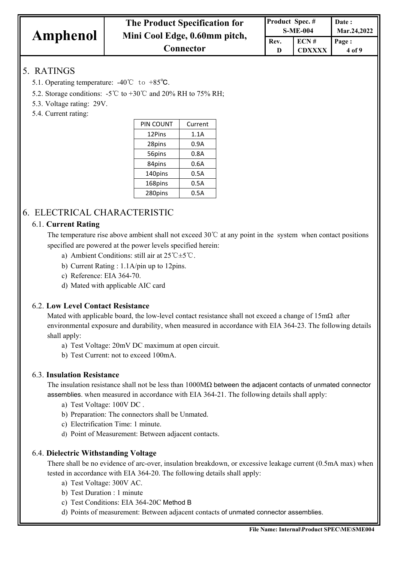|          | The Product Specification for<br>Mini Cool Edge, 0.60mm pitch, | Product Spec. # | <b>S-ME-004</b> | Date:<br>Mar.24.2022 |  |  |
|----------|----------------------------------------------------------------|-----------------|-----------------|----------------------|--|--|
| Amphenol |                                                                | Rev.            | ECN#            | Page:                |  |  |
|          | Connector                                                      |                 | <b>CDXXXX</b>   | 4 of 9               |  |  |

# 5. RATINGS

- 5.1. Operating temperature: -40℃ to +85℃.
- 5.2. Storage conditions:  $-5^{\circ}\text{C}$  to  $+30^{\circ}\text{C}$  and  $20\%$  RH to 75% RH;
- 5.3. Voltage rating: 29V.
- 5.4. Current rating:

| PIN COUNT | Current |
|-----------|---------|
| 12Pins    | 1.1A    |
| 28pins    | 0.9A    |
| 56pins    | 0.8A    |
| 84pins    | 0.6A    |
| 140pins   | 0.5A    |
| 168pins   | 0.5A    |
| 280pins   | 0.5A    |

# 6. ELECTRICAL CHARACTERISTIC

### 6.1. **Current Rating**

The temperature rise above ambient shall not exceed 30℃ at any point in the system when contact positions specified are powered at the power levels specified herein:

- a) Ambient Conditions: still air at 25℃±5℃.
- b) Current Rating : 1.1A/pin up to 12pins.
- c) Reference: EIA 364-70.
- d) Mated with applicable AIC card

### 6.2. **Low Level Contact Resistance**

Mated with applicable board, the low-level contact resistance shall not exceed a change of  $15m\Omega$  after environmental exposure and durability, when measured in accordance with EIA 364-23. The following details shall apply:

- a) Test Voltage: 20mV DC maximum at open circuit.
- b) Test Current: not to exceed 100mA.

### 6.3. **Insulation Resistance**

The insulation resistance shall not be less than 1000MΩ between the adjacent contacts of unmated connector assemblies. when measured in accordance with EIA 364-21. The following details shall apply:

- a) Test Voltage: 100V DC .
- b) Preparation: The connectors shall be Unmated.
- c) Electrification Time: 1 minute.
- d) Point of Measurement: Between adjacent contacts.

### 6.4. **Dielectric Withstanding Voltage**

There shall be no evidence of arc-over, insulation breakdown, or excessive leakage current (0.5mA max) when tested in accordance with EIA 364-20. The following details shall apply:

- a) Test Voltage: 300V AC.
- b) Test Duration : 1 minute
- c) Test Conditions: EIA 364-20C Method B
- d) Points of measurement: Between adjacent contacts of unmated connector assemblies.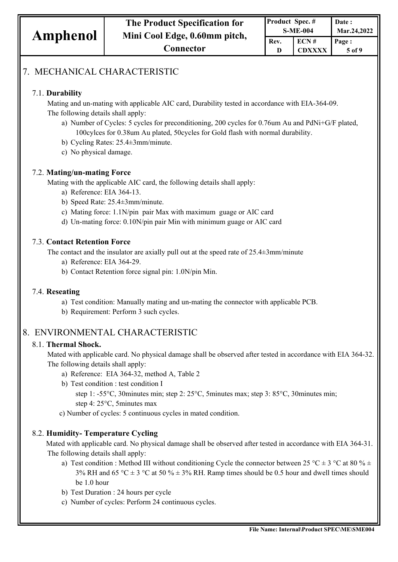# 7. MECHANICAL CHARACTERISTIC

### 7.1. **Durability**

Mating and un-mating with applicable AIC card, Durability tested in accordance with EIA-364-09. The following details shall apply:

- a) Number of Cycles: 5 cycles for preconditioning, 200 cycles for 0.76um Au and PdNi+G/F plated, 100cylces for 0.38um Au plated, 50cycles for Gold flash with normal durability.
- b) Cycling Rates: 25.4±3mm/minute.
- c) No physical damage.

### 7.2. **Mating/un-mating Force**

Mating with the applicable AIC card, the following details shall apply:

- a) Reference: EIA 364-13.
- b) Speed Rate: 25.4±3mm/minute.
- c) Mating force: 1.1N/pin pair Max with maximum guage or AIC card
- d) Un-mating force: 0.10N/pin pair Min with minimum guage or AIC card

### 7.3. **Contact Retention Force**

The contact and the insulator are axially pull out at the speed rate of 25.4±3mm/minute

- a) Reference: EIA 364-29.
- b) Contact Retention force signal pin: 1.0N/pin Min.

### 7.4. **Reseating**

a) Test condition: Manually mating and un-mating the connector with applicable PCB.

b) Requirement: Perform 3 such cycles.

# 8. ENVIRONMENTAL CHARACTERISTIC

### 8.1. **Thermal Shock.**

Mated with applicable card. No physical damage shall be observed after tested in accordance with EIA 364-32. The following details shall apply:

- a) Reference: EIA 364-32, method A, Table 2
- b) Test condition : test condition I
	- step 1: -55°C, 30minutes min; step 2: 25°C, 5minutes max; step 3: 85°C, 30minutes min; step 4: 25°C, 5minutes max
- c) Number of cycles: 5 continuous cycles in mated condition.

### 8.2. **Humidity- Temperature Cycling**

Mated with applicable card. No physical damage shall be observed after tested in accordance with EIA 364-31. The following details shall apply:

- a) Test condition : Method III without conditioning Cycle the connector between 25 °C  $\pm$  3 °C at 80 %  $\pm$ 3% RH and 65 °C  $\pm$  3 °C at 50 %  $\pm$  3% RH. Ramp times should be 0.5 hour and dwell times should be 1.0 hour
- b) Test Duration : 24 hours per cycle
- c) Number of cycles: Perform 24 continuous cycles.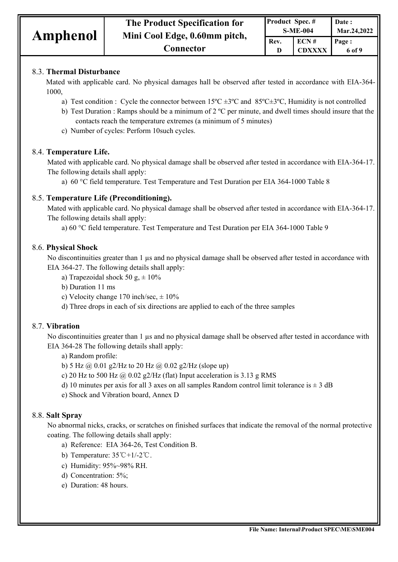#### 8.3. **Thermal Disturbance**

Mated with applicable card. No physical damages hall be observed after tested in accordance with EIA-364- 1000,

- a) Test condition : Cycle the connector between  $15^{\circ}C \pm 3^{\circ}C$  and  $85^{\circ}C \pm 3^{\circ}C$ , Humidity is not controlled
- b) Test Duration : Ramps should be a minimum of 2 ºC per minute, and dwell times should insure that the contacts reach the temperature extremes (a minimum of 5 minutes)
- c) Number of cycles: Perform 10such cycles.

#### 8.4. **Temperature Life.**

Mated with applicable card. No physical damage shall be observed after tested in accordance with EIA-364-17. The following details shall apply:

a) 60 °C field temperature. Test Temperature and Test Duration per EIA 364-1000 Table 8

#### 8.5. **Temperature Life (Preconditioning).**

Mated with applicable card. No physical damage shall be observed after tested in accordance with EIA-364-17. The following details shall apply:

a) 60 °C field temperature. Test Temperature and Test Duration per EIA 364-1000 Table 9

#### 8.6. **Physical Shock**

No discontinuities greater than 1  $\mu$ s and no physical damage shall be observed after tested in accordance with EIA 364-27. The following details shall apply:

a) Trapezoidal shock 50 g,  $\pm$  10%

b) Duration 11 ms

c) Velocity change 170 inch/sec,  $\pm 10\%$ 

d) Three drops in each of six directions are applied to each of the three samples

### 8.7. **Vibration**

No discontinuities greater than 1  $\mu$ s and no physical damage shall be observed after tested in accordance with EIA 364-28 The following details shall apply:

a) Random profile:

b) 5 Hz  $\omega$  0.01 g2/Hz to 20 Hz  $\omega$  0.02 g2/Hz (slope up)

c) 20 Hz to 500 Hz  $@$  0.02 g2/Hz (flat) Input acceleration is 3.13 g RMS

d) 10 minutes per axis for all 3 axes on all samples Random control limit tolerance is  $\pm$  3 dB

e) Shock and Vibration board, Annex D

### 8.8. **Salt Spray**

No abnormal nicks, cracks, or scratches on finished surfaces that indicate the removal of the normal protective coating. The following details shall apply:

- a) Reference: EIA 364-26, Test Condition B.
- b) Temperature: 35℃+1/-2℃.
- c) Humidity: 95%~98% RH.
- d) Concentration: 5%;
- e) Duration: 48 hours.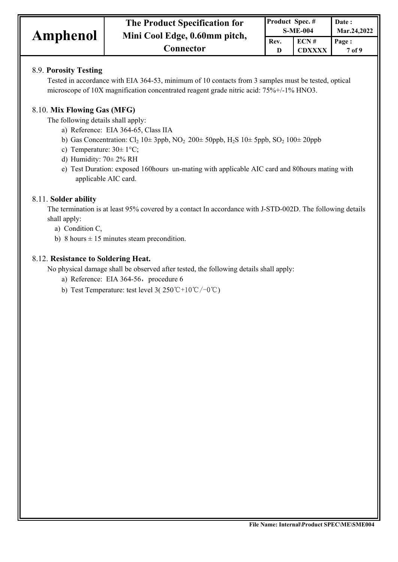| <b>Amphenol</b> |
|-----------------|
|-----------------|

### 8.9. **Porosity Testing**

Tested in accordance with EIA 364-53, minimum of 10 contacts from 3 samples must be tested, optical microscope of 10X magnification concentrated reagent grade nitric acid: 75%+/-1% HNO3.

### 8.10. **Mix Flowing Gas (MFG)**

The following details shall apply:

- a) Reference: EIA 364-65, Class IIA
- b) Gas Concentration:  $Cl_2$  10 $\pm$  3ppb, NO<sub>2</sub> 200 $\pm$  50ppb, H<sub>2</sub>S 10 $\pm$  5ppb, SO<sub>2</sub> 100 $\pm$  20ppb
- c) Temperature:  $30 \pm 1^{\circ}$ C;
- d) Humidity:  $70 \pm 2\%$  RH
- e) Test Duration: exposed 160hours un-mating with applicable AIC card and 80hours mating with applicable AIC card.

### 8.11. **Solder ability**

The termination is at least 95% covered by a contact In accordance with J-STD-002D. The following details shall apply:

a) Condition C,

b) 8 hours  $\pm$  15 minutes steam precondition.

### 8.12. **Resistance to Soldering Heat.**

No physical damage shall be observed after tested, the following details shall apply:

a) Reference: EIA  $364-56$ , procedure 6

b) Test Temperature: test level 3( 250℃+10℃/-0℃)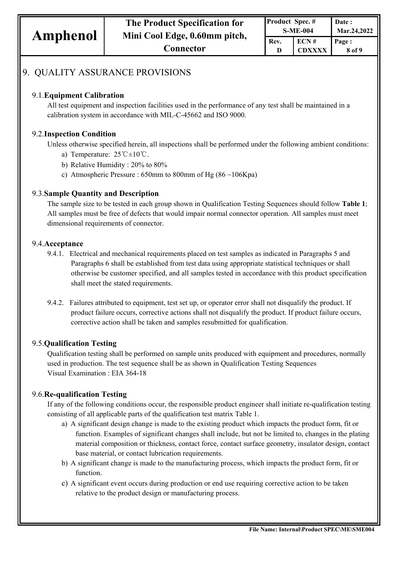# 9. QUALITY ASSURANCE PROVISIONS

### 9.1.**Equipment Calibration**

All test equipment and inspection facilities used in the performance of any test shall be maintained in a calibration system in accordance with MIL-C-45662 and ISO 9000.

### 9.2.**Inspection Condition**

Unless otherwise specified herein, all inspections shall be performed under the following ambient conditions:

- a) Temperature: 25℃±10℃.
- b) Relative Humidity : 20% to 80%
- c) Atmospheric Pressure : 650mm to 800mm of Hg (86 $\sim$ 106Kpa)

### 9.3.**Sample Quantity and Description**

The sample size to be tested in each group shown in Qualification Testing Sequences should follow **Table 1**; All samples must be free of defects that would impair normal connector operation. All samples must meet dimensional requirements of connector.

#### 9.4.**Acceptance**

- 9.4.1. Electrical and mechanical requirements placed on test samples as indicated in Paragraphs 5 and Paragraphs 6 shall be established from test data using appropriate statistical techniques or shall otherwise be customer specified, and all samples tested in accordance with this product specification shall meet the stated requirements.
- 9.4.2. Failures attributed to equipment, test set up, or operator error shall not disqualify the product. If product failure occurs, corrective actions shall not disqualify the product. If product failure occurs, corrective action shall be taken and samples resubmitted for qualification.

### 9.5.**Qualification Testing**

Qualification testing shall be performed on sample units produced with equipment and procedures, normally used in production. The test sequence shall be as shown in Qualification Testing Sequences Visual Examination : EIA 364-18

### 9.6.**Re-qualification Testing**

If any of the following conditions occur, the responsible product engineer shall initiate re-qualification testing consisting of all applicable parts of the qualification test matrix Table 1.

- a) A significant design change is made to the existing product which impacts the product form, fit or function. Examples of significant changes shall include, but not be limited to, changes in the plating material composition or thickness, contact force, contact surface geometry, insulator design, contact base material, or contact lubrication requirements.
- b) A significant change is made to the manufacturing process, which impacts the product form, fit or function.
- c) A significant event occurs during production or end use requiring corrective action to be taken relative to the product design or manufacturing process.